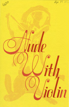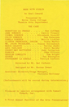## NUDE WITH VIOLIN

by Noel Coward

Presented by Boise State College Theatre Arts Department

## THE CAST

|                |  | SEBASTIEN LA CREOLE Dan Coffman          |
|----------------|--|------------------------------------------|
|                |  | JANE SORODIN Cecily Tippery              |
| ISOBEL SORODIN |  | . Elizabeth Streiff                      |
|                |  | COLIN SORODIN Dan Peterson               |
|                |  | PAMELA SORODIN Marcia Lickley            |
|                |  | CLINTON PREMINGER, JUNIOR . Steve Marker |
|                |  | MR. JACOB FRIEDLAND. Tracey Hollenbeck   |
|                |  | MARIE-CELESTE Terrie Jenks               |
|                |  | ANYA PAVLIKOV Patti Murphy               |
|                |  | CHERRY-MAY WATTERTON Judy Patterson      |
|                |  | FABRICE John Elliott                     |
|                |  | OBADIAH LEWELLYN Tom Wright              |
|                |  | GEORGE Pat Boyington                     |
|                |  | STOTESBURY LA CREOLE Patrick Corbett     |

Directed by Mr. Del Corbett

Designed by Mr. Harvev Sweet

Assistant Director/Stage Manager, Victoria Holloway

(Refreshments will be served during intermission.)

Produced by special arrangement with Samuel French, Inc.

A First Annual Festival of the Arts Presentation!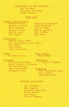ASSISTANTS TO THE DESIGNER Dan Coffman Victoria Holloway Kathy Powell

CREW LIST

## Scenic Construction

Donald Ba1ley Maureen Cochran Mark Hopkins Royanne Klein Debbie Long Ben Copple

Melanie Bringhurst Judy Hendrick Terrie Jenks Marcia Lickley Dan Coffman Ken Shaw

## Properties

Debbie Long, Head Pat Boyington, Asst. Head Pat Nance Gwyn Harms Judy Patterson

#### Sound

Royanne Klein

Box Office Gwyn Harms

#### Costumes

Victoria Holloway Kathy Powell, Co-heads Deb Hollenbeck Judy Patterson Royanne Klein

Publicity Cecily Tipperv

# Lighting

John Eichmann, Head Jim Langley Lighting Class

#### THEATRE ASSISTANTS

Dan Coffman Ben Copple Victoria Holloway Kathy Powell Ken Shaw Cecily Tippery